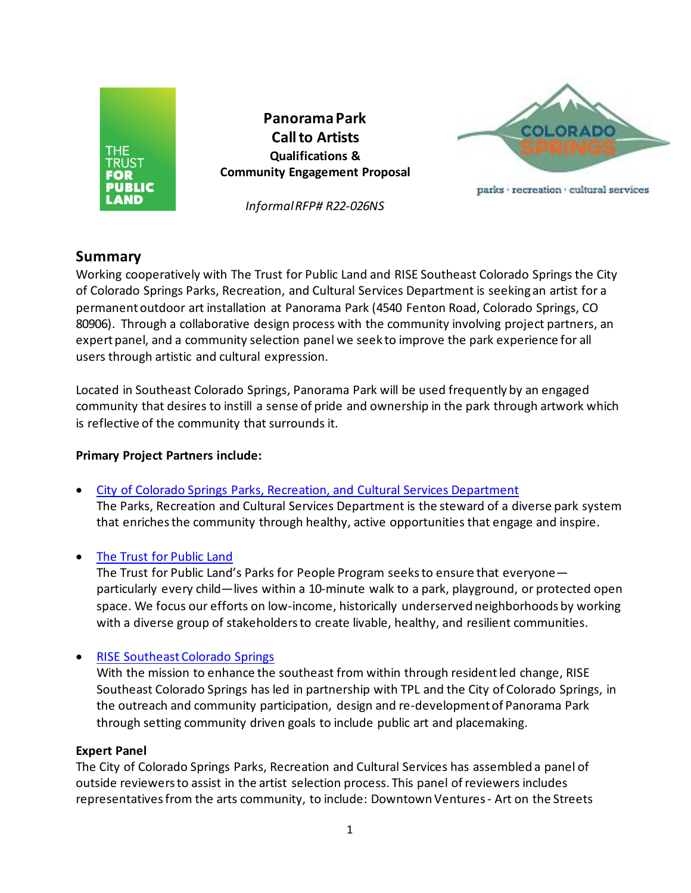

### **Summary**

Working cooperatively with The Trust for Public Land and RISE Southeast Colorado Springs the City of Colorado Springs Parks, Recreation, and Cultural Services Department is seeking an artist for a permanent outdoor art installation at Panorama Park (4540 Fenton Road, Colorado Springs, CO 80906). Through a collaborative design process with the community involving project partners, an expert panel, and a community selection panel we seek to improve the park experience for all users through artistic and cultural expression.

Located in Southeast Colorado Springs, Panorama Park will be used frequently by an engaged community that desires to instill a sense of pride and ownership in the park through artwork which is reflective of the community that surrounds it.

### **Primary Project Partners include:**

- [City of Colorado Springs Parks, Recreation, and Cultural Services Department](https://coloradosprings.gov/parks) The Parks, Recreation and Cultural Services Department is the steward of a diverse park system that enriches the community through healthy, active opportunities that engage and inspire.
- [The Trust for Public Land](https://www.tpl.org/)

The Trust for Public Land's Parks for People Program seeks to ensure that everyone particularly every child—lives within a 10-minute walk to a park, playground, or protected open space. We focus our efforts on low-income, historically underserved neighborhoods by working with a diverse group of stakeholdersto create livable, healthy, and resilient communities.

• [RISE Southeast Colorado Springs](https://risesoutheast.com/)

With the mission to enhance the southeast from within through resident led change, RISE Southeast Colorado Springs has led in partnership with TPL and the City of Colorado Springs, in the outreach and community participation, design and re-development of Panorama Park through setting community driven goals to include public art and placemaking.

### **Expert Panel**

The City of Colorado Springs Parks, Recreation and Cultural Services has assembled a panel of outside reviewers to assist in the artist selection process. This panel of reviewers includes representatives from the arts community, to include: Downtown Ventures - Art on the Streets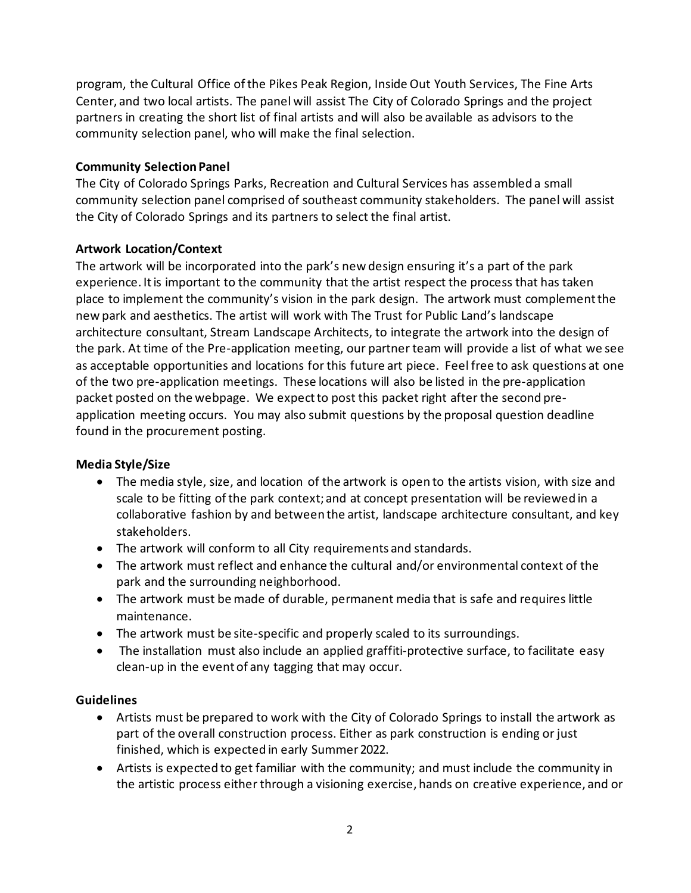program, the Cultural Office of the Pikes Peak Region, Inside Out Youth Services, The Fine Arts Center, and two local artists. The panel will assist The City of Colorado Springs and the project partners in creating the short list of final artists and will also be available as advisors to the community selection panel, who will make the final selection.

### **Community SelectionPanel**

The City of Colorado Springs Parks, Recreation and Cultural Services has assembled a small community selection panel comprised of southeast community stakeholders. The panel will assist the City of Colorado Springs and its partners to select the final artist.

### **Artwork Location/Context**

The artwork will be incorporated into the park's new design ensuring it's a part of the park experience. It is important to the community that the artist respect the process that has taken place to implement the community's vision in the park design. The artwork must complement the new park and aesthetics. The artist will work with The Trust for Public Land's landscape architecture consultant, Stream Landscape Architects, to integrate the artwork into the design of the park. At time of the Pre-application meeting, our partner team will provide a list of what we see as acceptable opportunities and locations for this future art piece. Feel free to ask questions at one of the two pre-application meetings. These locations will also be listed in the pre-application packet posted on the webpage. We expect to post this packet right after the second preapplication meeting occurs. You may also submit questions by the proposal question deadline found in the procurement posting.

### **Media Style/Size**

- The media style, size, and location of the artwork is open to the artists vision, with size and scale to be fitting of the park context; and at concept presentation will be reviewed in a collaborative fashion by and between the artist, landscape architecture consultant, and key stakeholders.
- The artwork will conform to all City requirements and standards.
- The artwork must reflect and enhance the cultural and/or environmental context of the park and the surrounding neighborhood.
- The artwork must be made of durable, permanent media that is safe and requires little maintenance.
- The artwork must be site-specific and properly scaled to its surroundings.
- The installation must also include an applied graffiti-protective surface, to facilitate easy clean-up in the event of any tagging that may occur.

### **Guidelines**

- Artists must be prepared to work with the City of Colorado Springs to install the artwork as part of the overall construction process. Either as park construction is ending or just finished, which is expected in early Summer 2022.
- Artists is expected to get familiar with the community; and must include the community in the artistic process either through a visioning exercise, hands on creative experience, and or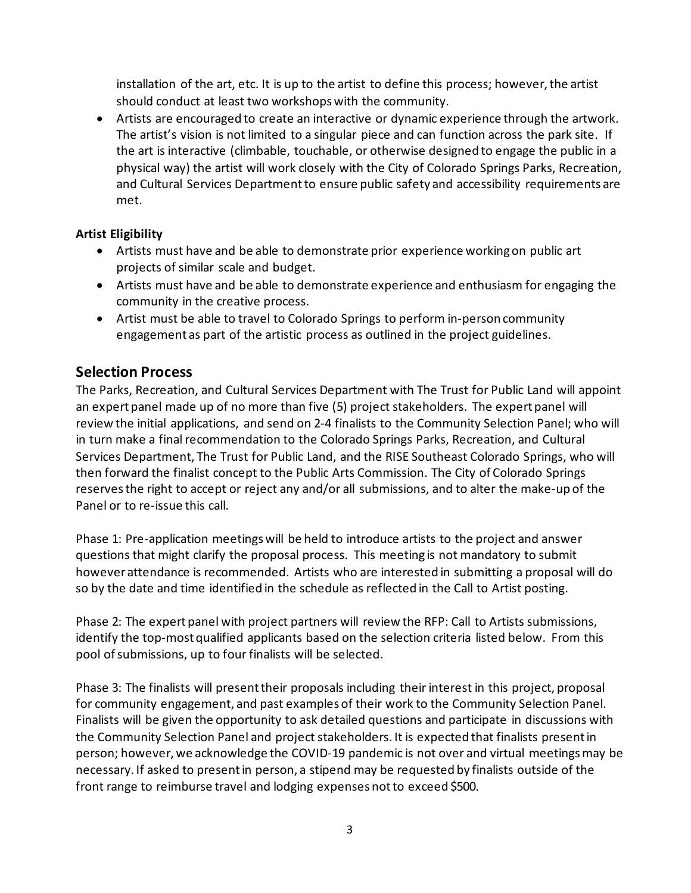installation of the art, etc. It is up to the artist to define this process; however, the artist should conduct at least two workshops with the community.

• Artists are encouraged to create an interactive or dynamic experience through the artwork. The artist's vision is not limited to a singular piece and can function across the park site. If the art is interactive (climbable, touchable, or otherwise designed to engage the public in a physical way) the artist will work closely with the City of Colorado Springs Parks, Recreation, and Cultural Services Department to ensure public safety and accessibility requirements are met.

### **Artist Eligibility**

- Artists must have and be able to demonstrate prior experience working on public art projects of similar scale and budget.
- Artists must have and be able to demonstrate experience and enthusiasm for engaging the community in the creative process.
- Artist must be able to travel to Colorado Springs to perform in-person community engagement as part of the artistic process as outlined in the project guidelines.

### **Selection Process**

The Parks, Recreation, and Cultural Services Department with The Trust for Public Land will appoint an expert panel made up of no more than five (5) project stakeholders. The expert panel will review the initial applications, and send on 2-4 finalists to the Community Selection Panel; who will in turn make a final recommendation to the Colorado Springs Parks, Recreation, and Cultural Services Department, The Trust for Public Land, and the RISE Southeast Colorado Springs, who will then forward the finalist concept to the Public Arts Commission. The City of Colorado Springs reserves the right to accept or reject any and/or all submissions, and to alter the make-up of the Panel or to re-issue this call.

Phase 1: Pre-application meetings will be held to introduce artists to the project and answer questions that might clarify the proposal process. This meeting is not mandatory to submit however attendance is recommended. Artists who are interested in submitting a proposal will do so by the date and time identified in the schedule as reflected in the Call to Artist posting.

Phase 2: The expert panel with project partners will review the RFP: Call to Artists submissions, identify the top-most qualified applicants based on the selection criteria listed below. From this pool of submissions, up to four finalists will be selected.

Phase 3: The finalists will present their proposals including their interest in this project, proposal for community engagement, and past examples of their work to the Community Selection Panel. Finalists will be given the opportunity to ask detailed questions and participate in discussions with the Community Selection Panel and project stakeholders. It is expected that finalists present in person; however, we acknowledge the COVID-19 pandemic is not over and virtual meetings may be necessary. If asked to present in person, a stipend may be requested by finalists outside of the front range to reimburse travel and lodging expenses not to exceed \$500.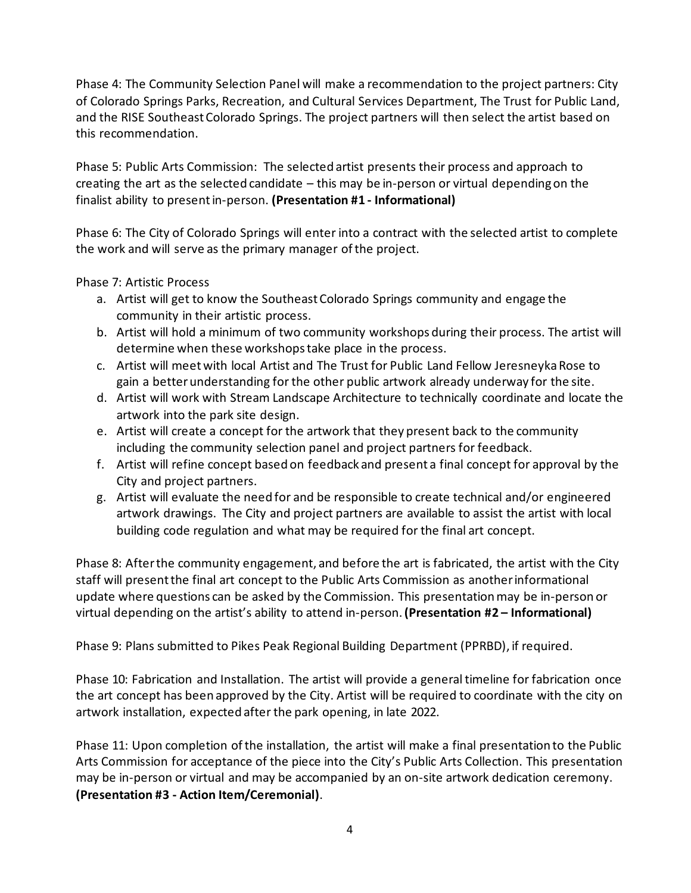Phase 4: The Community Selection Panel will make a recommendation to the project partners: City of Colorado Springs Parks, Recreation, and Cultural Services Department, The Trust for Public Land, and the RISE Southeast Colorado Springs. The project partners will then select the artist based on this recommendation.

Phase 5: Public Arts Commission: The selected artist presents their process and approach to creating the art as the selected candidate – this may be in-person or virtual depending on the finalist ability to present in-person. **(Presentation #1 - Informational)**

Phase 6: The City of Colorado Springs will enter into a contract with the selected artist to complete the work and will serve as the primary manager of the project.

Phase 7: Artistic Process

- a. Artist will get to know the Southeast Colorado Springs community and engage the community in their artistic process.
- b. Artist will hold a minimum of two community workshops during their process. The artist will determine when these workshops take place in the process.
- c. Artist will meet with local Artist and The Trust for Public Land Fellow Jeresneyka Rose to gain a better understanding for the other public artwork already underway for the site.
- d. Artist will work with Stream Landscape Architecture to technically coordinate and locate the artwork into the park site design.
- e. Artist will create a concept for the artwork that they present back to the community including the community selection panel and project partners for feedback.
- f. Artist will refine concept based on feedback and present a final concept for approval by the City and project partners.
- g. Artist will evaluate the need for and be responsible to create technical and/or engineered artwork drawings. The City and project partners are available to assist the artist with local building code regulation and what may be required for the final art concept.

Phase 8: After the community engagement, and before the art is fabricated, the artist with the City staff will present the final art concept to the Public Arts Commission as another informational update where questions can be asked by the Commission. This presentation may be in-person or virtual depending on the artist's ability to attend in-person. **(Presentation #2 – Informational)**

Phase 9: Plans submitted to Pikes Peak Regional Building Department (PPRBD), if required.

Phase 10: Fabrication and Installation. The artist will provide a general timeline for fabrication once the art concept has been approved by the City. Artist will be required to coordinate with the city on artwork installation, expected after the park opening, in late 2022.

Phase 11: Upon completion of the installation, the artist will make a final presentation to the Public Arts Commission for acceptance of the piece into the City's Public Arts Collection. This presentation may be in-person or virtual and may be accompanied by an on-site artwork dedication ceremony. **(Presentation #3 - Action Item/Ceremonial)**.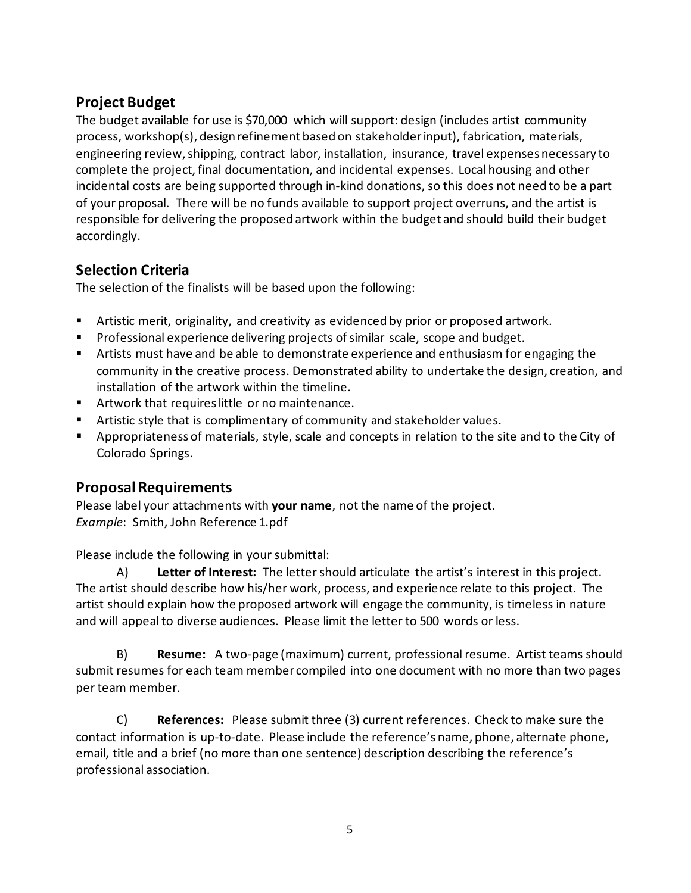# **Project Budget**

The budget available for use is \$70,000 which will support: design (includes artist community process, workshop(s), design refinement based on stakeholder input), fabrication, materials, engineering review, shipping, contract labor, installation, insurance, travel expenses necessary to complete the project, final documentation, and incidental expenses. Local housing and other incidental costs are being supported through in-kind donations, so this does not need to be a part of your proposal. There will be no funds available to support project overruns, and the artist is responsible for delivering the proposed artwork within the budget and should build their budget accordingly.

# **Selection Criteria**

The selection of the finalists will be based upon the following:

- Artistic merit, originality, and creativity as evidenced by prior or proposed artwork.
- **Professional experience delivering projects of similar scale, scope and budget.**
- Artists must have and be able to demonstrate experience and enthusiasm for engaging the community in the creative process. Demonstrated ability to undertake the design, creation, and installation of the artwork within the timeline.
- **EXECUTE:** Artwork that requires little or no maintenance.
- **That** Artistic style that is complimentary of community and stakeholder values.
- Appropriateness of materials, style, scale and concepts in relation to the site and to the City of Colorado Springs.

### **Proposal Requirements**

Please label your attachments with **your name**, not the name of the project. *Example*: Smith, John Reference 1.pdf

Please include the following in your submittal:

A) **Letter of Interest:** The letter should articulate the artist's interest in this project. The artist should describe how his/her work, process, and experience relate to this project. The artist should explain how the proposed artwork will engage the community, is timeless in nature and will appeal to diverse audiences. Please limit the letter to 500 words or less.

B) **Resume:** A two-page (maximum) current, professional resume. Artist teams should submit resumes for each team member compiled into one document with no more than two pages per team member.

C) **References:** Please submit three (3) current references. Check to make sure the contact information is up-to-date. Please include the reference's name, phone, alternate phone, email, title and a brief (no more than one sentence) description describing the reference's professional association.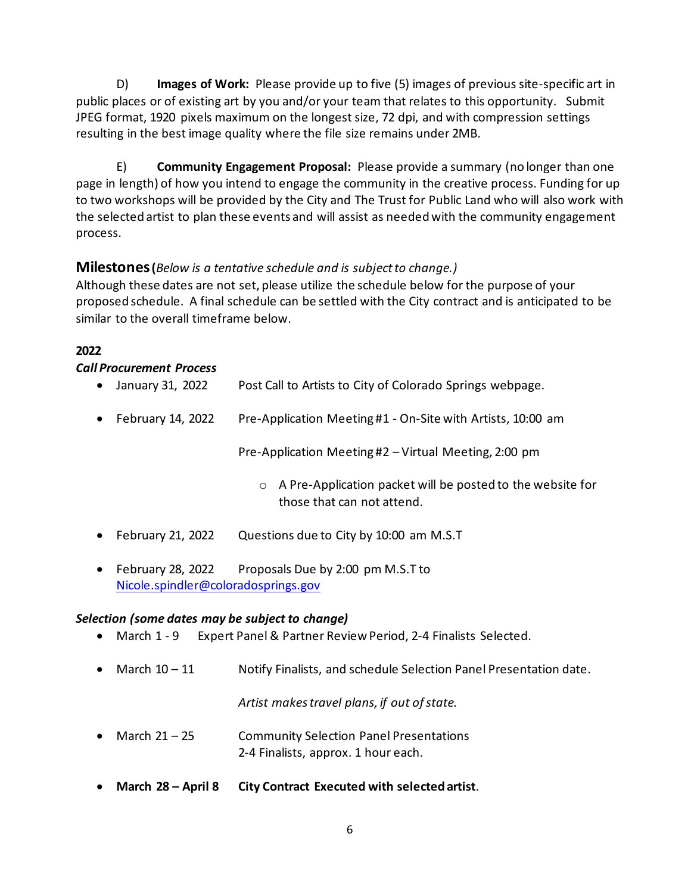D) **Images of Work:** Please provide up to five (5) images of previous site-specific art in public places or of existing art by you and/or your team that relates to this opportunity. Submit JPEG format, 1920 pixels maximum on the longest size, 72 dpi, and with compression settings resulting in the best image quality where the file size remains under 2MB.

E) **Community Engagement Proposal:** Please provide a summary (no longer than one page in length) of how you intend to engage the community in the creative process. Funding for up to two workshops will be provided by the City and The Trust for Public Land who will also work with the selected artist to plan these events and will assist as needed with the community engagement process.

### **Milestones (***Below is a tentative schedule and is subject to change.)*

Although these dates are not set, please utilize the schedule below for the purpose of your proposed schedule. A final schedule can be settled with the City contract and is anticipated to be similar to the overall timeframe below.

### **2022**

#### *Call Procurement Process*

| $\bullet$ | January 31, 2022  | Post Call to Artists to City of Colorado Springs webpage.                                           |
|-----------|-------------------|-----------------------------------------------------------------------------------------------------|
| $\bullet$ | February 14, 2022 | Pre-Application Meeting #1 - On-Site with Artists, 10:00 am                                         |
|           |                   | Pre-Application Meeting #2 – Virtual Meeting, 2:00 pm                                               |
|           |                   | A Pre-Application packet will be posted to the website for<br>$\circ$<br>those that can not attend. |
| $\bullet$ | February 21, 2022 | Questions due to City by 10:00 am M.S.T                                                             |

• February 28, 2022 Proposals Due by 2:00 pm M.S.T to [Nicole.spindler@coloradosprings.gov](mailto:Nicole.spindler@coloradosprings.gov)

### *Selection (some dates may be subject to change)*

- March 1 9 Expert Panel & Partner Review Period, 2-4 Finalists Selected.
- March 10 11 Notify Finalists, and schedule Selection Panel Presentation date.

*Artist makes travel plans, if out of state.* 

- March 21 25 Community Selection Panel Presentations 2-4 Finalists, approx. 1 hour each.
- **March 28 April 8 City Contract Executed with selected artist**.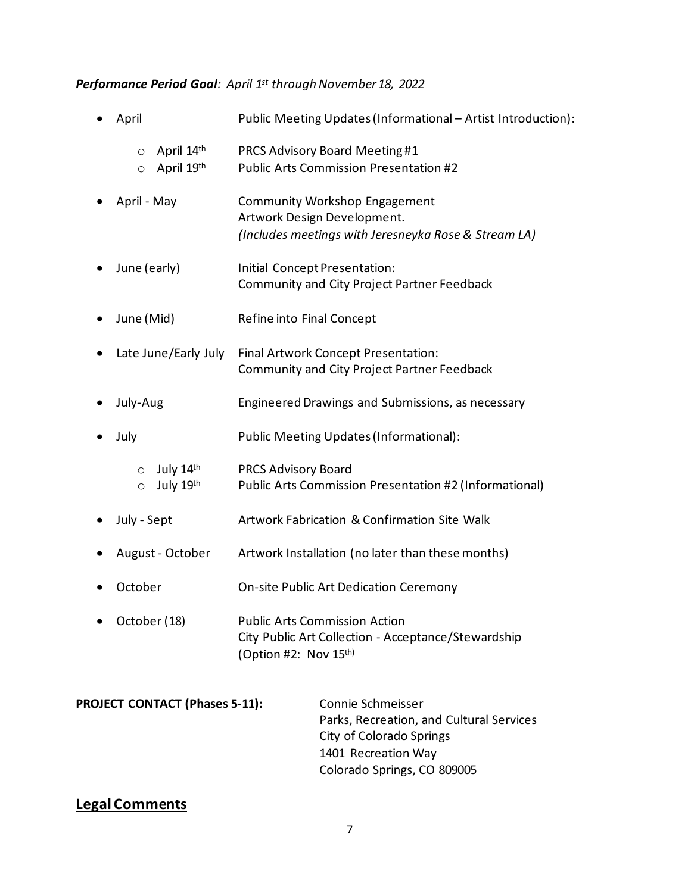# *Performance Period Goal: April 1st through November 18, 2022*

| April                                          | Public Meeting Updates (Informational - Artist Introduction):                                                                                   |
|------------------------------------------------|-------------------------------------------------------------------------------------------------------------------------------------------------|
| April 14th<br>$\circ$<br>April 19th<br>$\circ$ | <b>PRCS Advisory Board Meeting#1</b><br><b>Public Arts Commission Presentation #2</b>                                                           |
| April - May                                    | <b>Community Workshop Engagement</b><br>Artwork Design Development.<br>(Includes meetings with Jeresneyka Rose & Stream LA)                     |
| June (early)                                   | Initial Concept Presentation:<br>Community and City Project Partner Feedback                                                                    |
| June (Mid)                                     | Refine into Final Concept                                                                                                                       |
| Late June/Early July                           | Final Artwork Concept Presentation:<br><b>Community and City Project Partner Feedback</b>                                                       |
| July-Aug                                       | Engineered Drawings and Submissions, as necessary                                                                                               |
| July                                           | Public Meeting Updates (Informational):                                                                                                         |
| July 14th<br>$\circ$<br>July 19th<br>$\circ$   | <b>PRCS Advisory Board</b><br>Public Arts Commission Presentation #2 (Informational)                                                            |
| July - Sept                                    | Artwork Fabrication & Confirmation Site Walk                                                                                                    |
| August - October                               | Artwork Installation (no later than these months)                                                                                               |
| October                                        | On-site Public Art Dedication Ceremony                                                                                                          |
| October (18)                                   | <b>Public Arts Commission Action</b><br>City Public Art Collection - Acceptance/Stewardship<br>(Option #2: Nov 15th)                            |
| <b>PROJECT CONTACT (Phases 5-11):</b>          | Connie Schmeisser<br>Parks, Recreation, and Cultural Services<br>City of Colorado Springs<br>1401 Recreation Way<br>Colorado Springs, CO 809005 |

# **Legal Comments**